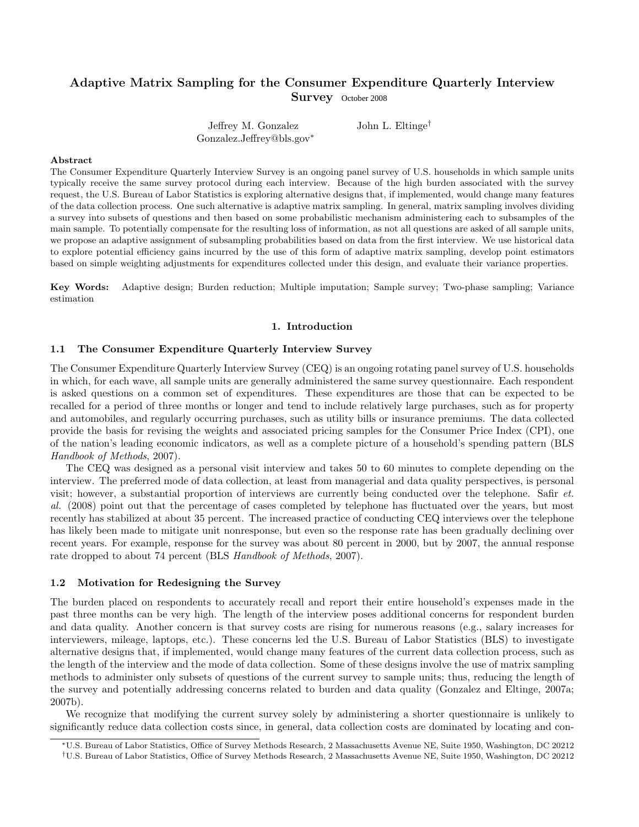# Adaptive Matrix Sampling for the Consumer Expenditure Quarterly Interview Survey October 2008

Jeffrey M. Gonzalez Gonzalez.Jeffrey@bls.gov<sup>∗</sup> John L. Eltinge†

### Abstract

The Consumer Expenditure Quarterly Interview Survey is an ongoing panel survey of U.S. households in which sample units typically receive the same survey protocol during each interview. Because of the high burden associated with the survey request, the U.S. Bureau of Labor Statistics is exploring alternative designs that, if implemented, would change many features of the data collection process. One such alternative is adaptive matrix sampling. In general, matrix sampling involves dividing a survey into subsets of questions and then based on some probabilistic mechanism administering each to subsamples of the main sample. To potentially compensate for the resulting loss of information, as not all questions are asked of all sample units, we propose an adaptive assignment of subsampling probabilities based on data from the first interview. We use historical data to explore potential efficiency gains incurred by the use of this form of adaptive matrix sampling, develop point estimators based on simple weighting adjustments for expenditures collected under this design, and evaluate their variance properties.

Key Words: Adaptive design; Burden reduction; Multiple imputation; Sample survey; Two-phase sampling; Variance estimation

# 1. Introduction

# 1.1 The Consumer Expenditure Quarterly Interview Survey

The Consumer Expenditure Quarterly Interview Survey (CEQ) is an ongoing rotating panel survey of U.S. households in which, for each wave, all sample units are generally administered the same survey questionnaire. Each respondent is asked questions on a common set of expenditures. These expenditures are those that can be expected to be recalled for a period of three months or longer and tend to include relatively large purchases, such as for property and automobiles, and regularly occurring purchases, such as utility bills or insurance premiums. The data collected provide the basis for revising the weights and associated pricing samples for the Consumer Price Index (CPI), one of the nation's leading economic indicators, as well as a complete picture of a household's spending pattern (BLS Handbook of Methods, 2007).

The CEQ was designed as a personal visit interview and takes 50 to 60 minutes to complete depending on the interview. The preferred mode of data collection, at least from managerial and data quality perspectives, is personal visit; however, a substantial proportion of interviews are currently being conducted over the telephone. Safir  $et$ . al. (2008) point out that the percentage of cases completed by telephone has fluctuated over the years, but most recently has stabilized at about 35 percent. The increased practice of conducting CEQ interviews over the telephone has likely been made to mitigate unit nonresponse, but even so the response rate has been gradually declining over recent years. For example, response for the survey was about 80 percent in 2000, but by 2007, the annual response rate dropped to about 74 percent (BLS Handbook of Methods, 2007).

#### 1.2 Motivation for Redesigning the Survey

The burden placed on respondents to accurately recall and report their entire household's expenses made in the past three months can be very high. The length of the interview poses additional concerns for respondent burden and data quality. Another concern is that survey costs are rising for numerous reasons (e.g., salary increases for interviewers, mileage, laptops, etc.). These concerns led the U.S. Bureau of Labor Statistics (BLS) to investigate alternative designs that, if implemented, would change many features of the current data collection process, such as the length of the interview and the mode of data collection. Some of these designs involve the use of matrix sampling methods to administer only subsets of questions of the current survey to sample units; thus, reducing the length of the survey and potentially addressing concerns related to burden and data quality (Gonzalez and Eltinge, 2007a; 2007b).

We recognize that modifying the current survey solely by administering a shorter questionnaire is unlikely to significantly reduce data collection costs since, in general, data collection costs are dominated by locating and con-

<sup>∗</sup>U.S. Bureau of Labor Statistics, Office of Survey Methods Research, 2 Massachusetts Avenue NE, Suite 1950, Washington, DC 20212

<sup>†</sup>U.S. Bureau of Labor Statistics, Office of Survey Methods Research, 2 Massachusetts Avenue NE, Suite 1950, Washington, DC 20212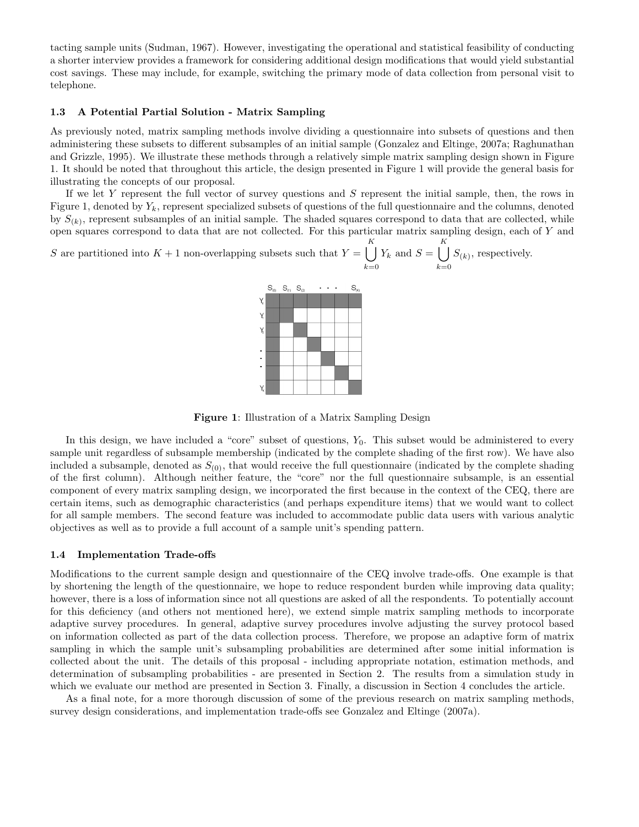tacting sample units (Sudman, 1967). However, investigating the operational and statistical feasibility of conducting a shorter interview provides a framework for considering additional design modifications that would yield substantial cost savings. These may include, for example, switching the primary mode of data collection from personal visit to telephone.

# 1.3 A Potential Partial Solution - Matrix Sampling

As previously noted, matrix sampling methods involve dividing a questionnaire into subsets of questions and then administering these subsets to different subsamples of an initial sample (Gonzalez and Eltinge, 2007a; Raghunathan and Grizzle, 1995). We illustrate these methods through a relatively simple matrix sampling design shown in Figure 1. It should be noted that throughout this article, the design presented in Figure 1 will provide the general basis for illustrating the concepts of our proposal.

If we let Y represent the full vector of survey questions and S represent the initial sample, then, the rows in Figure 1, denoted by  $Y_k$ , represent specialized subsets of questions of the full questionnaire and the columns, denoted by  $S_{(k)}$ , represent subsamples of an initial sample. The shaded squares correspond to data that are collected, while open squares correspond to data that are not collected. For this particular matrix sampling design, each of Y and

S are partitioned into  $K + 1$  non-overlapping subsets such that  $Y = \begin{bmatrix} K \\ S \end{bmatrix}$  $k=0$  $Y_k$  and  $S = \begin{bmatrix} K \\ \end{bmatrix}$  $_{k=0}$  $S_{(k)}$ , respectively.



Figure 1: Illustration of a Matrix Sampling Design

In this design, we have included a "core" subset of questions,  $Y_0$ . This subset would be administered to every sample unit regardless of subsample membership (indicated by the complete shading of the first row). We have also included a subsample, denoted as  $S_{(0)}$ , that would receive the full questionnaire (indicated by the complete shading of the first column). Although neither feature, the "core" nor the full questionnaire subsample, is an essential component of every matrix sampling design, we incorporated the first because in the context of the CEQ, there are certain items, such as demographic characteristics (and perhaps expenditure items) that we would want to collect for all sample members. The second feature was included to accommodate public data users with various analytic objectives as well as to provide a full account of a sample unit's spending pattern.

# 1.4 Implementation Trade-offs

Modifications to the current sample design and questionnaire of the CEQ involve trade-offs. One example is that by shortening the length of the questionnaire, we hope to reduce respondent burden while improving data quality; however, there is a loss of information since not all questions are asked of all the respondents. To potentially account for this deficiency (and others not mentioned here), we extend simple matrix sampling methods to incorporate adaptive survey procedures. In general, adaptive survey procedures involve adjusting the survey protocol based on information collected as part of the data collection process. Therefore, we propose an adaptive form of matrix sampling in which the sample unit's subsampling probabilities are determined after some initial information is collected about the unit. The details of this proposal - including appropriate notation, estimation methods, and determination of subsampling probabilities - are presented in Section 2. The results from a simulation study in which we evaluate our method are presented in Section 3. Finally, a discussion in Section 4 concludes the article.

As a final note, for a more thorough discussion of some of the previous research on matrix sampling methods, survey design considerations, and implementation trade-offs see Gonzalez and Eltinge (2007a).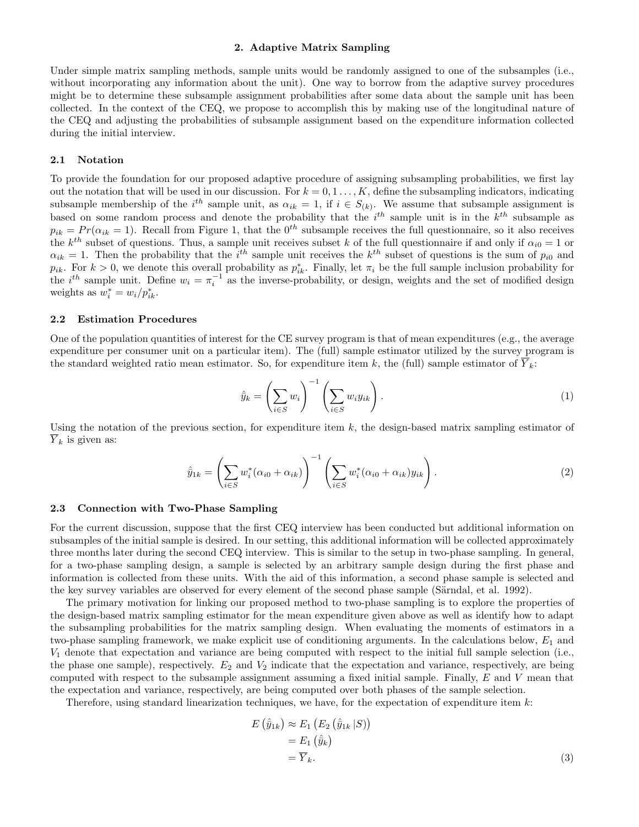# 2. Adaptive Matrix Sampling

Under simple matrix sampling methods, sample units would be randomly assigned to one of the subsamples (i.e., without incorporating any information about the unit). One way to borrow from the adaptive survey procedures might be to determine these subsample assignment probabilities after some data about the sample unit has been collected. In the context of the CEQ, we propose to accomplish this by making use of the longitudinal nature of the CEQ and adjusting the probabilities of subsample assignment based on the expenditure information collected during the initial interview.

# 2.1 Notation

To provide the foundation for our proposed adaptive procedure of assigning subsampling probabilities, we first lay out the notation that will be used in our discussion. For  $k = 0, 1, \ldots, K$ , define the subsampling indicators, indicating subsample membership of the  $i^{th}$  sample unit, as  $\alpha_{ik} = 1$ , if  $i \in S_{(k)}$ . We assume that subsample assignment is based on some random process and denote the probability that the  $i^{th}$  sample unit is in the  $k^{th}$  subsample as  $p_{ik} = Pr(\alpha_{ik} = 1)$ . Recall from Figure 1, that the 0<sup>th</sup> subsample receives the full questionnaire, so it also receives the  $k^{th}$  subset of questions. Thus, a sample unit receives subset k of the full questionnaire if and only if  $\alpha_{i0} = 1$  or  $\alpha_{ik} = 1$ . Then the probability that the i<sup>th</sup> sample unit receives the k<sup>th</sup> subset of questions is the sum of  $p_{i0}$  and  $p_{ik}$ . For  $k > 0$ , we denote this overall probability as  $p_{ik}^*$ . Finally, let  $\pi_i$  be the full sample inclusion probability for the  $i^{th}$  sample unit. Define  $w_i = \pi_i^{-1}$  as the inverse-probability, or design, weights and the set of modified design weights as  $w_i^* = w_i / p_{ik}^*$ .

#### 2.2 Estimation Procedures

One of the population quantities of interest for the CE survey program is that of mean expenditures (e.g., the average expenditure per consumer unit on a particular item). The (full) sample estimator utilized by the survey program is the standard weighted ratio mean estimator. So, for expenditure item k, the (full) sample estimator of  $\overline{Y}_k$ :

$$
\hat{y}_k = \left(\sum_{i \in S} w_i\right)^{-1} \left(\sum_{i \in S} w_i y_{ik}\right). \tag{1}
$$

Using the notation of the previous section, for expenditure item  $k$ , the design-based matrix sampling estimator of  $\overline{Y}_k$  is given as:

$$
\hat{y}_{1k} = \left(\sum_{i \in S} w_i^*(\alpha_{i0} + \alpha_{ik})\right)^{-1} \left(\sum_{i \in S} w_i^*(\alpha_{i0} + \alpha_{ik})y_{ik}\right).
$$
\n(2)

#### 2.3 Connection with Two-Phase Sampling

For the current discussion, suppose that the first CEQ interview has been conducted but additional information on subsamples of the initial sample is desired. In our setting, this additional information will be collected approximately three months later during the second CEQ interview. This is similar to the setup in two-phase sampling. In general, for a two-phase sampling design, a sample is selected by an arbitrary sample design during the first phase and information is collected from these units. With the aid of this information, a second phase sample is selected and the key survey variables are observed for every element of the second phase sample (Särndal, et al. 1992).

The primary motivation for linking our proposed method to two-phase sampling is to explore the properties of the design-based matrix sampling estimator for the mean expenditure given above as well as identify how to adapt the subsampling probabilities for the matrix sampling design. When evaluating the moments of estimators in a two-phase sampling framework, we make explicit use of conditioning arguments. In the calculations below,  $E_1$  and  $V_1$  denote that expectation and variance are being computed with respect to the initial full sample selection (i.e., the phase one sample), respectively.  $E_2$  and  $V_2$  indicate that the expectation and variance, respectively, are being computed with respect to the subsample assignment assuming a fixed initial sample. Finally, E and V mean that the expectation and variance, respectively, are being computed over both phases of the sample selection.

Therefore, using standard linearization techniques, we have, for the expectation of expenditure item  $k$ :

$$
E(\hat{y}_{1k}) \approx E_1(E_2(\hat{y}_{1k}|S))
$$
  
=  $E_1(\hat{y}_k)$   
=  $\overline{Y}_k$ . (3)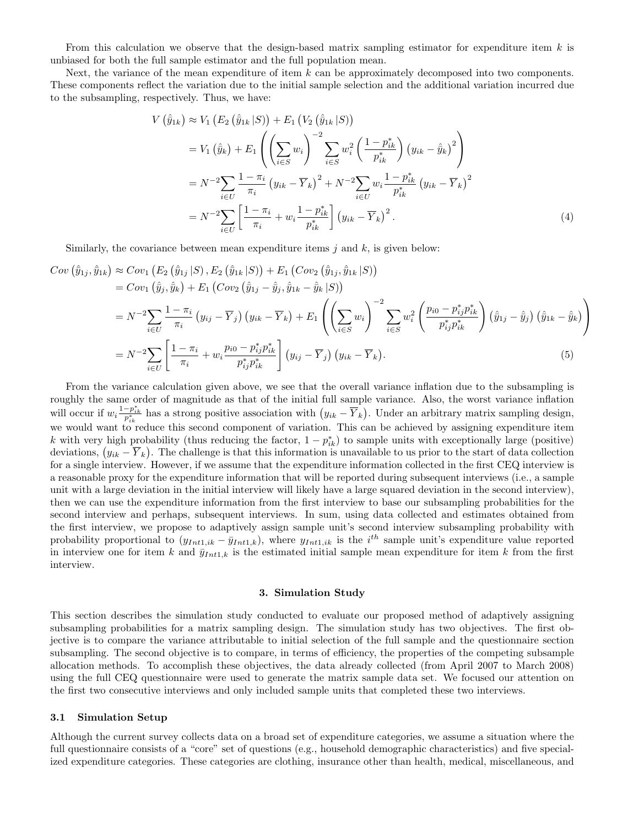From this calculation we observe that the design-based matrix sampling estimator for expenditure item  $k$  is unbiased for both the full sample estimator and the full population mean.

Next, the variance of the mean expenditure of item  $k$  can be approximately decomposed into two components. These components reflect the variation due to the initial sample selection and the additional variation incurred due to the subsampling, respectively. Thus, we have:

$$
V\left(\hat{y}_{1k}\right) \approx V_1\left(E_2\left(\hat{y}_{1k}|S\right)\right) + E_1\left(V_2\left(\hat{y}_{1k}|S\right)\right)
$$
  
\n
$$
= V_1\left(\hat{y}_k\right) + E_1\left(\left(\sum_{i\in S} w_i\right)^{-2} \sum_{i\in S} w_i^2 \left(\frac{1-p_{ik}^*}{p_{ik}^*}\right) \left(y_{ik} - \hat{y}_k\right)^2\right)
$$
  
\n
$$
= N^{-2} \sum_{i\in U} \frac{1-\pi_i}{\pi_i} \left(y_{ik} - \overline{Y}_k\right)^2 + N^{-2} \sum_{i\in U} w_i \frac{1-p_{ik}^*}{p_{ik}^*} \left(y_{ik} - \overline{Y}_k\right)^2
$$
  
\n
$$
= N^{-2} \sum_{i\in U} \left[\frac{1-\pi_i}{\pi_i} + w_i \frac{1-p_{ik}^*}{p_{ik}^*}\right] \left(y_{ik} - \overline{Y}_k\right)^2.
$$
 (4)

Similarly, the covariance between mean expenditure items  $j$  and  $k$ , is given below:

$$
Cov\left(\hat{y}_{1j}, \hat{y}_{1k}\right) \approx Cov_{1}\left(E_{2}\left(\hat{y}_{1j}|S\right), E_{2}\left(\hat{y}_{1k}|S\right)\right) + E_{1}\left(Cov_{2}\left(\hat{y}_{1j}, \hat{y}_{1k}|S\right)\right)
$$
  
\n
$$
= Cov_{1}\left(\hat{y}_{j}, \hat{y}_{k}\right) + E_{1}\left(Cov_{2}\left(\hat{y}_{1j} - \hat{y}_{j}, \hat{y}_{1k} - \hat{y}_{k}|S\right)\right)
$$
  
\n
$$
= N^{-2} \sum_{i \in U} \frac{1 - \pi_{i}}{\pi_{i}} \left(y_{ij} - \overline{Y}_{j}\right) \left(y_{ik} - \overline{Y}_{k}\right) + E_{1}\left(\left(\sum_{i \in S} w_{i}\right)^{-2} \sum_{i \in S} w_{i}^{2}\left(\frac{p_{i0} - p_{ij}^{*} p_{ik}^{*}}{p_{ij}^{*} p_{ik}^{*}}\right) \left(\hat{y}_{1j} - \hat{y}_{j}\right) \left(\hat{y}_{1k} - \hat{y}_{k}\right)\right)
$$
  
\n
$$
= N^{-2} \sum_{i \in U} \left[\frac{1 - \pi_{i}}{\pi_{i}} + w_{i} \frac{p_{i0} - p_{ij}^{*} p_{ik}^{*}}{p_{ij}^{*} p_{ik}^{*}}\right] \left(y_{ij} - \overline{Y}_{j}\right) \left(y_{ik} - \overline{Y}_{k}\right).
$$
  
\n(5)

From the variance calculation given above, we see that the overall variance inflation due to the subsampling is roughly the same order of magnitude as that of the initial full sample variance. Also, the worst variance inflation will occur if  $w_i \frac{1-p_{ik}^*}{p_{ik}^*}$  has a strong positive association with  $(y_{ik} - \overline{Y}_k)$ . Under an arbitrary matrix sampling design, we would want to reduce this second component of variation. This can be achieved by assigning expenditure item k with very high probability (thus reducing the factor,  $1 - p_{ik}^*$ ) to sample units with exceptionally large (positive) deviations,  $(y_{ik} - \overline{Y}_k)$ . The challenge is that this information is unavailable to us prior to the start of data collection for a single interview. However, if we assume that the expenditure information collected in the first CEQ interview is a reasonable proxy for the expenditure information that will be reported during subsequent interviews (i.e., a sample unit with a large deviation in the initial interview will likely have a large squared deviation in the second interview), then we can use the expenditure information from the first interview to base our subsampling probabilities for the second interview and perhaps, subsequent interviews. In sum, using data collected and estimates obtained from the first interview, we propose to adaptively assign sample unit's second interview subsampling probability with probability proportional to  $(y_{Int1,ik} - \bar{y}_{Int1,k})$ , where  $y_{Int1,ik}$  is the  $i^{th}$  sample unit's expenditure value reported in interview one for item k and  $\bar{y}_{Int1,k}$  is the estimated initial sample mean expenditure for item k from the first interview.

#### 3. Simulation Study

This section describes the simulation study conducted to evaluate our proposed method of adaptively assigning subsampling probabilities for a matrix sampling design. The simulation study has two objectives. The first objective is to compare the variance attributable to initial selection of the full sample and the questionnaire section subsampling. The second objective is to compare, in terms of efficiency, the properties of the competing subsample allocation methods. To accomplish these objectives, the data already collected (from April 2007 to March 2008) using the full CEQ questionnaire were used to generate the matrix sample data set. We focused our attention on the first two consecutive interviews and only included sample units that completed these two interviews.

# 3.1 Simulation Setup

Although the current survey collects data on a broad set of expenditure categories, we assume a situation where the full questionnaire consists of a "core" set of questions (e.g., household demographic characteristics) and five specialized expenditure categories. These categories are clothing, insurance other than health, medical, miscellaneous, and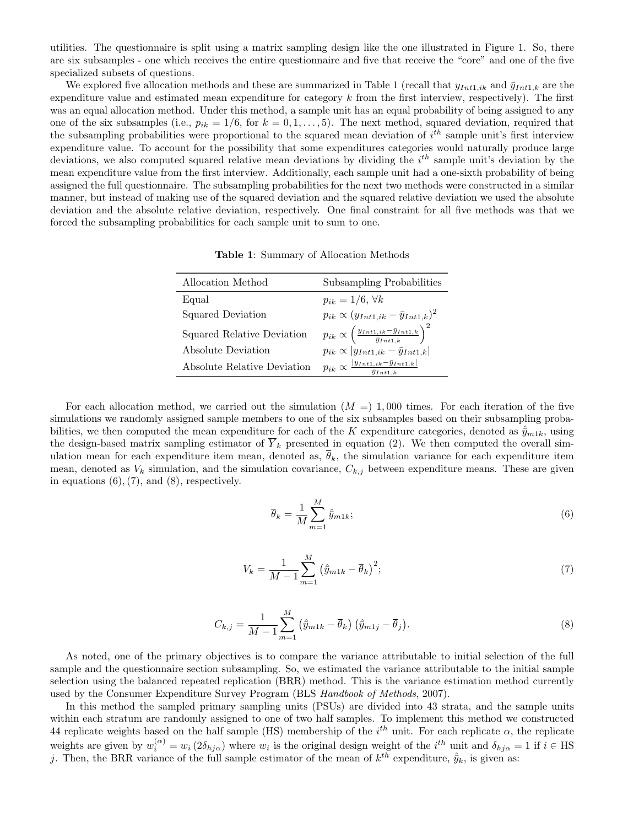utilities. The questionnaire is split using a matrix sampling design like the one illustrated in Figure 1. So, there are six subsamples - one which receives the entire questionnaire and five that receive the "core" and one of the five specialized subsets of questions.

We explored five allocation methods and these are summarized in Table 1 (recall that  $y_{Int1,ik}$  and  $\bar{y}_{Int1,k}$  are the expenditure value and estimated mean expenditure for category  $k$  from the first interview, respectively). The first was an equal allocation method. Under this method, a sample unit has an equal probability of being assigned to any one of the six subsamples (i.e.,  $p_{ik} = 1/6$ , for  $k = 0, 1, \ldots, 5$ ). The next method, squared deviation, required that the subsampling probabilities were proportional to the squared mean deviation of  $i<sup>th</sup>$  sample unit's first interview expenditure value. To account for the possibility that some expenditures categories would naturally produce large deviations, we also computed squared relative mean deviations by dividing the  $i<sup>th</sup>$  sample unit's deviation by the mean expenditure value from the first interview. Additionally, each sample unit had a one-sixth probability of being assigned the full questionnaire. The subsampling probabilities for the next two methods were constructed in a similar manner, but instead of making use of the squared deviation and the squared relative deviation we used the absolute deviation and the absolute relative deviation, respectively. One final constraint for all five methods was that we forced the subsampling probabilities for each sample unit to sum to one.

Table 1: Summary of Allocation Methods

| Allocation Method           | Subsampling Probabilities                                                               |
|-----------------------------|-----------------------------------------------------------------------------------------|
| Equal                       | $p_{ik} = 1/6, \forall k$                                                               |
| Squared Deviation           | $p_{ik} \propto (y_{Int1,ik} - \bar{y}_{Int1,k})^2$                                     |
| Squared Relative Deviation  | $p_{ik} \propto \left(\frac{y_{Int1,ik} - \bar{y}_{Int1,k}}{\bar{y}_{Int1,k}}\right)^2$ |
| Absolute Deviation          | $p_{ik} \propto  y_{Int1,ik} - \bar{y}_{Int1,k} $                                       |
| Absolute Relative Deviation | $p_{ik} \propto \frac{ y_{Int1,ik}-\bar{y}_{Int1,k} }{\bar{y}_{Int1,k}}$                |

For each allocation method, we carried out the simulation  $(M =) 1,000$  times. For each iteration of the five simulations we randomly assigned sample members to one of the six subsamples based on their subsampling probabilities, we then computed the mean expenditure for each of the K expenditure categories, denoted as  $\hat{y}_{m1k}$ , using the design-based matrix sampling estimator of  $\overline{Y}_k$  presented in equation (2). We then computed the overall simulation mean for each expenditure item mean, denoted as,  $\bar{\theta}_k$ , the simulation variance for each expenditure item mean, denoted as  $V_k$  simulation, and the simulation covariance,  $C_{k,j}$  between expenditure means. These are given in equations  $(6)$ ,  $(7)$ , and  $(8)$ , respectively.

$$
\overline{\theta}_k = \frac{1}{M} \sum_{m=1}^{M} \hat{\bar{y}}_{m1k};\tag{6}
$$

$$
V_k = \frac{1}{M-1} \sum_{m=1}^{M} \left( \hat{y}_{m1k} - \overline{\theta}_k \right)^2; \tag{7}
$$

$$
C_{k,j} = \frac{1}{M-1} \sum_{m=1}^{M} \left( \hat{y}_{m1k} - \overline{\theta}_k \right) \left( \hat{y}_{m1j} - \overline{\theta}_j \right). \tag{8}
$$

As noted, one of the primary objectives is to compare the variance attributable to initial selection of the full sample and the questionnaire section subsampling. So, we estimated the variance attributable to the initial sample selection using the balanced repeated replication (BRR) method. This is the variance estimation method currently used by the Consumer Expenditure Survey Program (BLS Handbook of Methods, 2007).

In this method the sampled primary sampling units (PSUs) are divided into 43 strata, and the sample units within each stratum are randomly assigned to one of two half samples. To implement this method we constructed 44 replicate weights based on the half sample (HS) membership of the  $i^{th}$  unit. For each replicate  $\alpha$ , the replicate weights are given by  $w_i^{(\alpha)} = w_i (2\delta_{hj\alpha})$  where  $w_i$  is the original design weight of the  $i^{th}$  unit and  $\delta_{hj\alpha} = 1$  if  $i \in \text{HS}$ j. Then, the BRR variance of the full sample estimator of the mean of  $k^{th}$  expenditure,  $\hat{y}_k$ , is given as: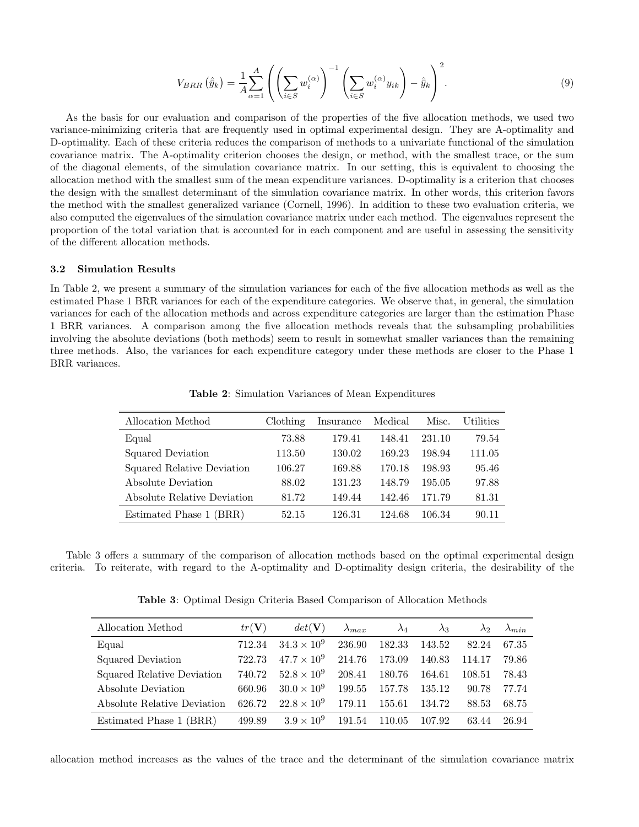$$
V_{BRR}(\hat{y}_k) = \frac{1}{A} \sum_{\alpha=1}^{A} \left( \left( \sum_{i \in S} w_i^{(\alpha)} \right)^{-1} \left( \sum_{i \in S} w_i^{(\alpha)} y_{ik} \right) - \hat{y}_k \right)^2.
$$
 (9)

As the basis for our evaluation and comparison of the properties of the five allocation methods, we used two variance-minimizing criteria that are frequently used in optimal experimental design. They are A-optimality and D-optimality. Each of these criteria reduces the comparison of methods to a univariate functional of the simulation covariance matrix. The A-optimality criterion chooses the design, or method, with the smallest trace, or the sum of the diagonal elements, of the simulation covariance matrix. In our setting, this is equivalent to choosing the allocation method with the smallest sum of the mean expenditure variances. D-optimality is a criterion that chooses the design with the smallest determinant of the simulation covariance matrix. In other words, this criterion favors the method with the smallest generalized variance (Cornell, 1996). In addition to these two evaluation criteria, we also computed the eigenvalues of the simulation covariance matrix under each method. The eigenvalues represent the proportion of the total variation that is accounted for in each component and are useful in assessing the sensitivity of the different allocation methods.

# 3.2 Simulation Results

In Table 2, we present a summary of the simulation variances for each of the five allocation methods as well as the estimated Phase 1 BRR variances for each of the expenditure categories. We observe that, in general, the simulation variances for each of the allocation methods and across expenditure categories are larger than the estimation Phase 1 BRR variances. A comparison among the five allocation methods reveals that the subsampling probabilities involving the absolute deviations (both methods) seem to result in somewhat smaller variances than the remaining three methods. Also, the variances for each expenditure category under these methods are closer to the Phase 1 BRR variances.

| Allocation Method           | Clothing | Insurance | Medical | Misc.  | <b>Utilities</b> |
|-----------------------------|----------|-----------|---------|--------|------------------|
| Equal                       | 73.88    | 179.41    | 148.41  | 231.10 | 79.54            |
| Squared Deviation           | 113.50   | 130.02    | 169.23  | 198.94 | 111.05           |
| Squared Relative Deviation  | 106.27   | 169.88    | 170.18  | 198.93 | 95.46            |
| Absolute Deviation          | 88.02    | 131.23    | 148.79  | 195.05 | 97.88            |
| Absolute Relative Deviation | 81.72    | 149.44    | 142.46  | 171.79 | 81.31            |
| Estimated Phase 1<br>(BRR)  | 52.15    | 126.31    | 124.68  | 106.34 | 90.11            |

Table 2: Simulation Variances of Mean Expenditures

Table 3 offers a summary of the comparison of allocation methods based on the optimal experimental design criteria. To reiterate, with regard to the A-optimality and D-optimality design criteria, the desirability of the

Table 3: Optimal Design Criteria Based Comparison of Allocation Methods

| Allocation Method            | $tr(\mathbf{V})$ | $det(\mathbf{V})$    | $\lambda_{max}$ | $\lambda_4$ | $\lambda_3$ | $\lambda_{2}$ | $\lambda_{min}$ |
|------------------------------|------------------|----------------------|-----------------|-------------|-------------|---------------|-----------------|
| Equal                        | 712.34           | $34.3 \times 10^{9}$ | 236.90          | 182.33      | 143.52      | 82.24         | 67.35           |
| Squared Deviation            | 722.73           | $47.7 \times 10^{9}$ | 214.76          | 173.09      | 140.83      | 114.17        | 79.86           |
| Squared Relative Deviation   | 740.72           | $52.8 \times 10^{9}$ | 208.41          | 180.76      | 164.61      | 108.51        | 78.43           |
| Absolute Deviation           | 660.96           | $30.0 \times 10^9$   | 199.55          | 157.78      | 135.12      | 90.78         | 77.74           |
| Absolute Relative Deviation  | 626.72           | $22.8 \times 10^9$   | 179.11          | 155.61      | 134.72      | 88.53         | 68.75           |
| Estimated Phase 1 (<br>(BRR) | 499.89           | $3.9 \times 10^{9}$  | 191.54          | 110.05      | 107.92      | 63.44         | 26.94           |

allocation method increases as the values of the trace and the determinant of the simulation covariance matrix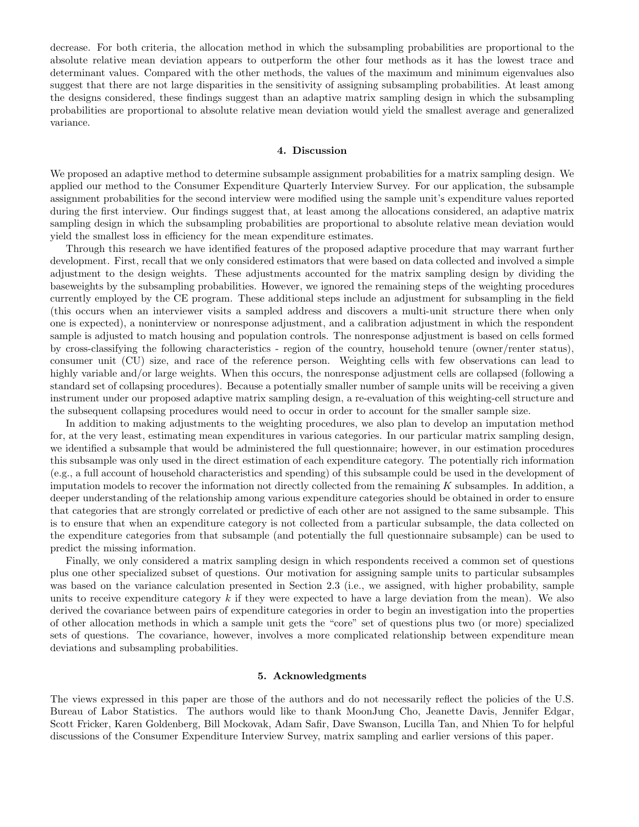decrease. For both criteria, the allocation method in which the subsampling probabilities are proportional to the absolute relative mean deviation appears to outperform the other four methods as it has the lowest trace and determinant values. Compared with the other methods, the values of the maximum and minimum eigenvalues also suggest that there are not large disparities in the sensitivity of assigning subsampling probabilities. At least among the designs considered, these findings suggest than an adaptive matrix sampling design in which the subsampling probabilities are proportional to absolute relative mean deviation would yield the smallest average and generalized variance.

#### 4. Discussion

We proposed an adaptive method to determine subsample assignment probabilities for a matrix sampling design. We applied our method to the Consumer Expenditure Quarterly Interview Survey. For our application, the subsample assignment probabilities for the second interview were modified using the sample unit's expenditure values reported during the first interview. Our findings suggest that, at least among the allocations considered, an adaptive matrix sampling design in which the subsampling probabilities are proportional to absolute relative mean deviation would yield the smallest loss in efficiency for the mean expenditure estimates.

Through this research we have identified features of the proposed adaptive procedure that may warrant further development. First, recall that we only considered estimators that were based on data collected and involved a simple adjustment to the design weights. These adjustments accounted for the matrix sampling design by dividing the baseweights by the subsampling probabilities. However, we ignored the remaining steps of the weighting procedures currently employed by the CE program. These additional steps include an adjustment for subsampling in the field (this occurs when an interviewer visits a sampled address and discovers a multi-unit structure there when only one is expected), a noninterview or nonresponse adjustment, and a calibration adjustment in which the respondent sample is adjusted to match housing and population controls. The nonresponse adjustment is based on cells formed by cross-classifying the following characteristics - region of the country, household tenure (owner/renter status), consumer unit (CU) size, and race of the reference person. Weighting cells with few observations can lead to highly variable and/or large weights. When this occurs, the nonresponse adjustment cells are collapsed (following a standard set of collapsing procedures). Because a potentially smaller number of sample units will be receiving a given instrument under our proposed adaptive matrix sampling design, a re-evaluation of this weighting-cell structure and the subsequent collapsing procedures would need to occur in order to account for the smaller sample size.

In addition to making adjustments to the weighting procedures, we also plan to develop an imputation method for, at the very least, estimating mean expenditures in various categories. In our particular matrix sampling design, we identified a subsample that would be administered the full questionnaire; however, in our estimation procedures this subsample was only used in the direct estimation of each expenditure category. The potentially rich information (e.g., a full account of household characteristics and spending) of this subsample could be used in the development of imputation models to recover the information not directly collected from the remaining K subsamples. In addition, a deeper understanding of the relationship among various expenditure categories should be obtained in order to ensure that categories that are strongly correlated or predictive of each other are not assigned to the same subsample. This is to ensure that when an expenditure category is not collected from a particular subsample, the data collected on the expenditure categories from that subsample (and potentially the full questionnaire subsample) can be used to predict the missing information.

Finally, we only considered a matrix sampling design in which respondents received a common set of questions plus one other specialized subset of questions. Our motivation for assigning sample units to particular subsamples was based on the variance calculation presented in Section 2.3 (i.e., we assigned, with higher probability, sample units to receive expenditure category  $k$  if they were expected to have a large deviation from the mean). We also derived the covariance between pairs of expenditure categories in order to begin an investigation into the properties of other allocation methods in which a sample unit gets the "core" set of questions plus two (or more) specialized sets of questions. The covariance, however, involves a more complicated relationship between expenditure mean deviations and subsampling probabilities.

# 5. Acknowledgments

The views expressed in this paper are those of the authors and do not necessarily reflect the policies of the U.S. Bureau of Labor Statistics. The authors would like to thank MoonJung Cho, Jeanette Davis, Jennifer Edgar, Scott Fricker, Karen Goldenberg, Bill Mockovak, Adam Safir, Dave Swanson, Lucilla Tan, and Nhien To for helpful discussions of the Consumer Expenditure Interview Survey, matrix sampling and earlier versions of this paper.